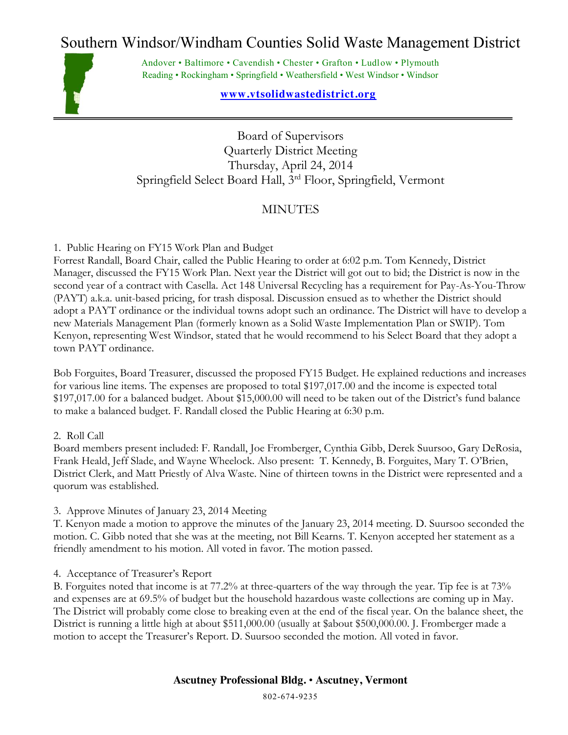# Southern Windsor/Windham Counties Solid Waste Management District



Andover • Baltimore • Cavendish • Chester • Grafton • Ludlow • Plymouth Reading • Rockingham • Springfield • Weathersfield • West Windsor • Windsor

### **[www.vtsolidwastedistrict.org](http://www.vtsolidwastedistrict.org/)**

Board of Supervisors Quarterly District Meeting Thursday, April 24, 2014 Springfield Select Board Hall, 3rd Floor, Springfield, Vermont

## **MINUTES**

#### 1. Public Hearing on FY15 Work Plan and Budget

Forrest Randall, Board Chair, called the Public Hearing to order at 6:02 p.m. Tom Kennedy, District Manager, discussed the FY15 Work Plan. Next year the District will got out to bid; the District is now in the second year of a contract with Casella. Act 148 Universal Recycling has a requirement for Pay-As-You-Throw (PAYT) a.k.a. unit-based pricing, for trash disposal. Discussion ensued as to whether the District should adopt a PAYT ordinance or the individual towns adopt such an ordinance. The District will have to develop a new Materials Management Plan (formerly known as a Solid Waste Implementation Plan or SWIP). Tom Kenyon, representing West Windsor, stated that he would recommend to his Select Board that they adopt a town PAYT ordinance.

Bob Forguites, Board Treasurer, discussed the proposed FY15 Budget. He explained reductions and increases for various line items. The expenses are proposed to total \$197,017.00 and the income is expected total \$197,017.00 for a balanced budget. About \$15,000.00 will need to be taken out of the District's fund balance to make a balanced budget. F. Randall closed the Public Hearing at 6:30 p.m.

#### 2. Roll Call

Board members present included: F. Randall, Joe Fromberger, Cynthia Gibb, Derek Suursoo, Gary DeRosia, Frank Heald, Jeff Slade, and Wayne Wheelock. Also present: T. Kennedy, B. Forguites, Mary T. O'Brien, District Clerk, and Matt Priestly of Alva Waste. Nine of thirteen towns in the District were represented and a quorum was established.

3. Approve Minutes of January 23, 2014 Meeting

T. Kenyon made a motion to approve the minutes of the January 23, 2014 meeting. D. Suursoo seconded the motion. C. Gibb noted that she was at the meeting, not Bill Kearns. T. Kenyon accepted her statement as a friendly amendment to his motion. All voted in favor. The motion passed.

4. Acceptance of Treasurer's Report

B. Forguites noted that income is at 77.2% at three-quarters of the way through the year. Tip fee is at 73% and expenses are at 69.5% of budget but the household hazardous waste collections are coming up in May. The District will probably come close to breaking even at the end of the fiscal year. On the balance sheet, the District is running a little high at about \$511,000.00 (usually at \$about \$500,000.00. J. Fromberger made a motion to accept the Treasurer's Report. D. Suursoo seconded the motion. All voted in favor.

#### **Ascutney Professional Bldg.** • **Ascutney, Vermont**

802-674-9235